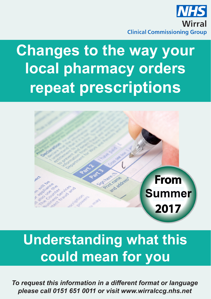

# **Changes to the way your local pharmacy orders repeat prescriptions**



# **Understanding what this could mean for you**

*To request this information in a different format or language please call 0151 651 0011 or visit www.wirralccg.nhs.net*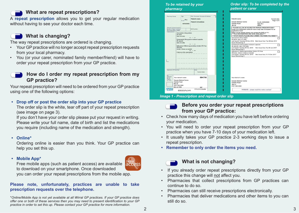### **What are repeat prescriptions?**

A **repeat prescription** allows you to get your regular medication without having to see your doctor each time.

# **What is changing?**

The way repeat prescriptions are ordered is changing.

- Your GP practice will no longer accept repeat prescription requests from your local pharmacy.
- You (or your carer, nominated family member/friend) will have to order your repeat prescription from your GP practice.

# **How do I order my repeat prescription from my GP practice?**

Your repeat prescription will need to be ordered from your GP practice using one of the following options:

#### **• Drop off or post the order slip into your GP practice**

The order slip is the white, tear off part of your repeat prescription (see image on page 3).

If you don't have your order slip please put your request in writing. Please write your full name, date of birth and list the medications you require (including name of the medication and strength).

#### **• Online\***

Ordering online is easier than you think. Your GP practice can help you set this up.

#### **• Mobile App\***

Free mobile apps (such as patient access) are available to download on your smartphone. Once downloaded you can order your repeat prescriptions from the mobile app.

#### **Please note, unfortunately, practices are unable to take prescription requests over the telephone.**

\**Online/Mobile App is not yet available at all Wirral GP practices. If your GP practice does offer one or both of these services then you may need to present identification to your GP practice in order to set this up. Please contact your GP practice for more information.*

# *To be retained by your pharmacy*

*Order slip: To be completed by the patient or carer*

| <b>Pharmacy Stamp</b>                                                                                                                                                 | Age<br>D.o.8 00 y                 | Title, Forename, Surname & Address<br>Patient's name |  | Patient's name                                                                                                                                                    |                                           | Current date<br>Page 1 of 1 |
|-----------------------------------------------------------------------------------------------------------------------------------------------------------------------|-----------------------------------|------------------------------------------------------|--|-------------------------------------------------------------------------------------------------------------------------------------------------------------------|-------------------------------------------|-----------------------------|
|                                                                                                                                                                       | 00/00/0000                        | Patient's full address                               |  | <b>Sample Medical Centre</b><br>Sample Road<br>Wirral                                                                                                             | D.o.B.: 00/00/0000<br>Age: 00 y<br>NHS#   |                             |
| Please don't stamp over age box.<br>Number of days' treatment<br>N.B. Ensure dose is stated                                                                           |                                   | NHS Number:                                          |  | "PLEASE ALLOW 48 HOURS FOR REPEAT PRESCRIPTIONS"<br>Order your medication online 24 hours a day! Ask at reception for an<br>application form!                     |                                           |                             |
| <b>Endorsements</b><br>Atorvastatin 20mg tablets<br>28 tablet<br>take one daily                                                                                       |                                   |                                                      |  | When we are closed, please now contact the NHS on 111.<br>**** FLU VACCINATIONS ARE NOW AVAILABLE****<br>**** STOP WASTE PLEASE ONLY ORDER THE ITEMS YOU NEED**** |                                           |                             |
| Omeprazole 20mg gastro-resistant capsules<br>28 capsule<br>take one daily<br>Salbutamol 100micrograms/dose inhaler CFC free<br>$200$ dose<br>inhale 2 doses as needed |                                   |                                                      |  | Atorvastatin 20mg tablets<br>28 tablet, take one daily<br>Last Issued: Tuesday 09 Dec 2016 Next Issue Due: Tue 06 Jan 2017<br><b>Issues Remaining: 0</b>          |                                           |                             |
|                                                                                                                                                                       |                                   |                                                      |  | Omeprazole 20mg gastro-resistant capsules<br>28 capsule, take one daily<br>Last Issued: Tuesday 09 Dec 2016<br><b>Issues Remaining: 0</b>                         | Next Issue Due: Tue 06 Jan 2017           |                             |
|                                                                                                                                                                       | 3 items on this prescription<br>. |                                                      |  | Salbutamol 100micrograms/dose inhaler CFC free<br>200 dose, inhale 2 doses as needed<br>Last Issued: Tuesday 09 Dec 2016<br>Issues Remaining: 0                   | Next Issue Due: Fri 19 Dec 2017           |                             |
|                                                                                                                                                                       |                                   |                                                      |  |                                                                                                                                                                   |                                           |                             |
| Signature of Prescriber                                                                                                                                               |                                   | .<br>Date<br>Current date                            |  |                                                                                                                                                                   |                                           |                             |
| For                                                                                                                                                                   |                                   |                                                      |  |                                                                                                                                                                   |                                           |                             |
| dispenser<br>894796<br>Your doctor's name<br>No. of<br>Prescns.<br><b>Sample Medical Centre</b><br>on form<br>Sample Road<br>Wirral<br>0151 000 0000                  |                                   |                                                      |  | Your doctor's name<br><b>Sample Medical Centre</b><br>Sample Road<br>Wirral<br>0151 000 0000                                                                      |                                           |                             |
| <b>Wirral CCG</b><br>06P<br>NHS<br><b>FP10SSO608</b><br>03550196349                                                                                                   |                                   |                                                      |  |                                                                                                                                                                   | PATIENTS - please read the notes overleaf |                             |

*Image 1 - Prescription and repeat order slip* 



## **Before you order your repeat prescriptions from your GP practice:**

- Check how many days of medication you have left before ordering your medication.
- You will need to order your repeat prescription from your GP practice when you have 7-10 days of your medication left.
- It usually takes your GP practice 2-3 working days to issue a repeat prescription.
- **• Remember to only order the items you need.**



# **What is not changing?**

- If you already order repeat prescriptions directly from your GP practice this change will not affect you.
- Pharmacies that collect prescriptions from GP practices can continue to do so.
- Pharmacies can still receive prescriptions electronically.
- Pharmacies that deliver medications and other items to you can still do so.